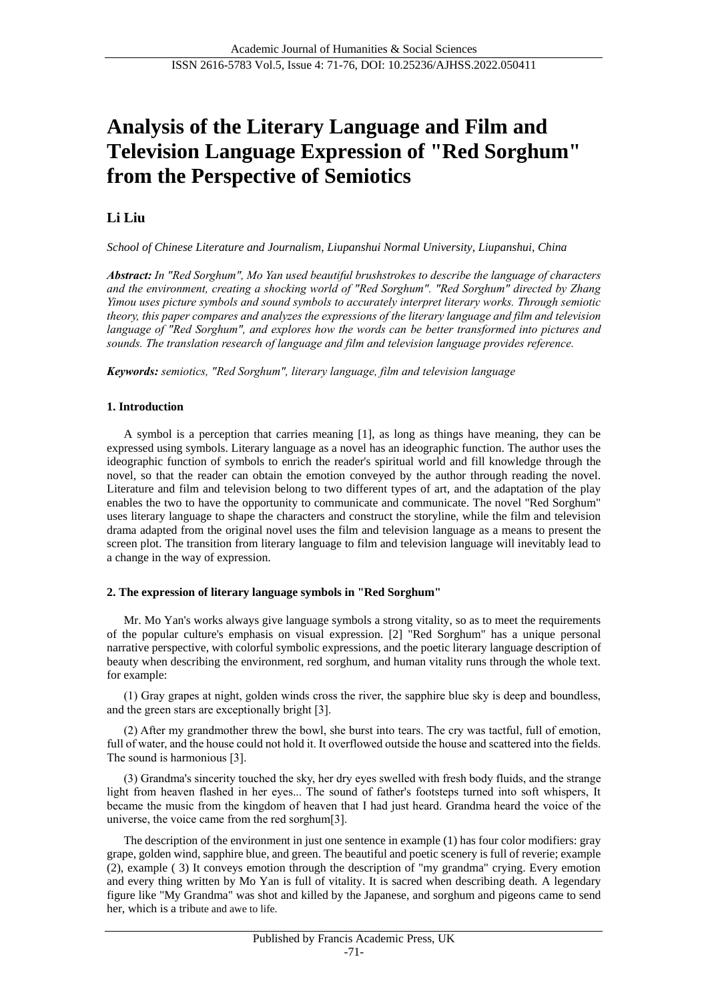# **Analysis of the Literary Language and Film and Television Language Expression of "Red Sorghum" from the Perspective of Semiotics**

# **Li Liu**

*School of Chinese Literature and Journalism, Liupanshui Normal University, Liupanshui, China*

*Abstract: In "Red Sorghum", Mo Yan used beautiful brushstrokes to describe the language of characters and the environment, creating a shocking world of "Red Sorghum". "Red Sorghum" directed by Zhang Yimou uses picture symbols and sound symbols to accurately interpret literary works. Through semiotic theory, this paper compares and analyzes the expressions of the literary language and film and television language of "Red Sorghum", and explores how the words can be better transformed into pictures and sounds. The translation research of language and film and television language provides reference.*

*Keywords: semiotics, "Red Sorghum", literary language, film and television language*

## **1. Introduction**

A symbol is a perception that carries meaning [1], as long as things have meaning, they can be expressed using symbols. Literary language as a novel has an ideographic function. The author uses the ideographic function of symbols to enrich the reader's spiritual world and fill knowledge through the novel, so that the reader can obtain the emotion conveyed by the author through reading the novel. Literature and film and television belong to two different types of art, and the adaptation of the play enables the two to have the opportunity to communicate and communicate. The novel "Red Sorghum" uses literary language to shape the characters and construct the storyline, while the film and television drama adapted from the original novel uses the film and television language as a means to present the screen plot. The transition from literary language to film and television language will inevitably lead to a change in the way of expression.

## **2. The expression of literary language symbols in "Red Sorghum"**

Mr. Mo Yan's works always give language symbols a strong vitality, so as to meet the requirements of the popular culture's emphasis on visual expression. [2] "Red Sorghum" has a unique personal narrative perspective, with colorful symbolic expressions, and the poetic literary language description of beauty when describing the environment, red sorghum, and human vitality runs through the whole text. for example:

(1) Gray grapes at night, golden winds cross the river, the sapphire blue sky is deep and boundless, and the green stars are exceptionally bright [3].

(2) After my grandmother threw the bowl, she burst into tears. The cry was tactful, full of emotion, full of water, and the house could not hold it. It overflowed outside the house and scattered into the fields. The sound is harmonious [3].

(3) Grandma's sincerity touched the sky, her dry eyes swelled with fresh body fluids, and the strange light from heaven flashed in her eyes... The sound of father's footsteps turned into soft whispers, It became the music from the kingdom of heaven that I had just heard. Grandma heard the voice of the universe, the voice came from the red sorghum[3].

The description of the environment in just one sentence in example (1) has four color modifiers: gray grape, golden wind, sapphire blue, and green. The beautiful and poetic scenery is full of reverie; example (2), example ( 3) It conveys emotion through the description of "my grandma" crying. Every emotion and every thing written by Mo Yan is full of vitality. It is sacred when describing death. A legendary figure like "My Grandma" was shot and killed by the Japanese, and sorghum and pigeons came to send her, which is a tribute and awe to life.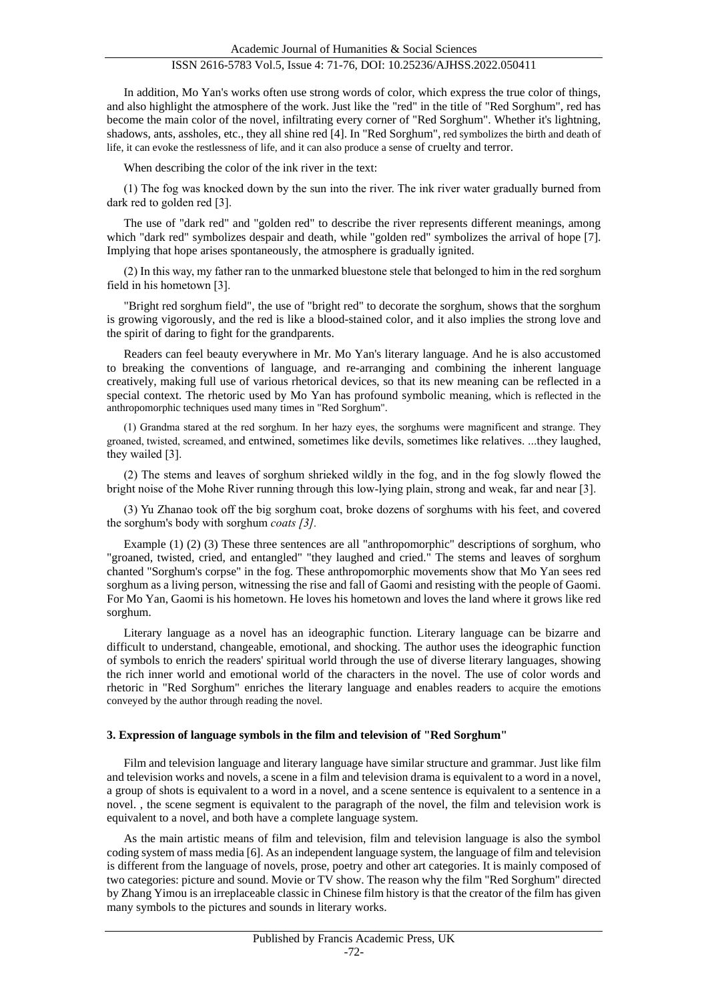In addition, Mo Yan's works often use strong words of color, which express the true color of things, and also highlight the atmosphere of the work. Just like the "red" in the title of "Red Sorghum", red has become the main color of the novel, infiltrating every corner of "Red Sorghum". Whether it's lightning, shadows, ants, assholes, etc., they all shine red [4]. In "Red Sorghum", red symbolizes the birth and death of life, it can evoke the restlessness of life, and it can also produce a sense of cruelty and terror.

When describing the color of the ink river in the text:

(1) The fog was knocked down by the sun into the river. The ink river water gradually burned from dark red to golden red [3].

The use of "dark red" and "golden red" to describe the river represents different meanings, among which "dark red" symbolizes despair and death, while "golden red" symbolizes the arrival of hope [7]. Implying that hope arises spontaneously, the atmosphere is gradually ignited.

(2) In this way, my father ran to the unmarked bluestone stele that belonged to him in the red sorghum field in his hometown [3].

"Bright red sorghum field", the use of "bright red" to decorate the sorghum, shows that the sorghum is growing vigorously, and the red is like a blood-stained color, and it also implies the strong love and the spirit of daring to fight for the grandparents.

Readers can feel beauty everywhere in Mr. Mo Yan's literary language. And he is also accustomed to breaking the conventions of language, and re-arranging and combining the inherent language creatively, making full use of various rhetorical devices, so that its new meaning can be reflected in a special context. The rhetoric used by Mo Yan has profound symbolic meaning, which is reflected in the anthropomorphic techniques used many times in "Red Sorghum".

(1) Grandma stared at the red sorghum. In her hazy eyes, the sorghums were magnificent and strange. They groaned, twisted, screamed, and entwined, sometimes like devils, sometimes like relatives. ...they laughed, they wailed [3].

(2) The stems and leaves of sorghum shrieked wildly in the fog, and in the fog slowly flowed the bright noise of the Mohe River running through this low-lying plain, strong and weak, far and near [3].

(3) Yu Zhanao took off the big sorghum coat, broke dozens of sorghums with his feet, and covered the sorghum's body with sorghum *coats [3].*

Example (1) (2) (3) These three sentences are all "anthropomorphic" descriptions of sorghum, who "groaned, twisted, cried, and entangled" "they laughed and cried." The stems and leaves of sorghum chanted "Sorghum's corpse" in the fog. These anthropomorphic movements show that Mo Yan sees red sorghum as a living person, witnessing the rise and fall of Gaomi and resisting with the people of Gaomi. For Mo Yan, Gaomi is his hometown. He loves his hometown and loves the land where it grows like red sorghum.

Literary language as a novel has an ideographic function. Literary language can be bizarre and difficult to understand, changeable, emotional, and shocking. The author uses the ideographic function of symbols to enrich the readers' spiritual world through the use of diverse literary languages, showing the rich inner world and emotional world of the characters in the novel. The use of color words and rhetoric in "Red Sorghum" enriches the literary language and enables readers to acquire the emotions conveyed by the author through reading the novel.

#### **3. Expression of language symbols in the film and television of "Red Sorghum"**

Film and television language and literary language have similar structure and grammar. Just like film and television works and novels, a scene in a film and television drama is equivalent to a word in a novel, a group of shots is equivalent to a word in a novel, and a scene sentence is equivalent to a sentence in a novel. , the scene segment is equivalent to the paragraph of the novel, the film and television work is equivalent to a novel, and both have a complete language system.

As the main artistic means of film and television, film and television language is also the symbol coding system of mass media [6]. As an independent language system, the language of film and television is different from the language of novels, prose, poetry and other art categories. It is mainly composed of two categories: picture and sound. Movie or TV show. The reason why the film "Red Sorghum" directed by Zhang Yimou is an irreplaceable classic in Chinese film history is that the creator of the film has given many symbols to the pictures and sounds in literary works.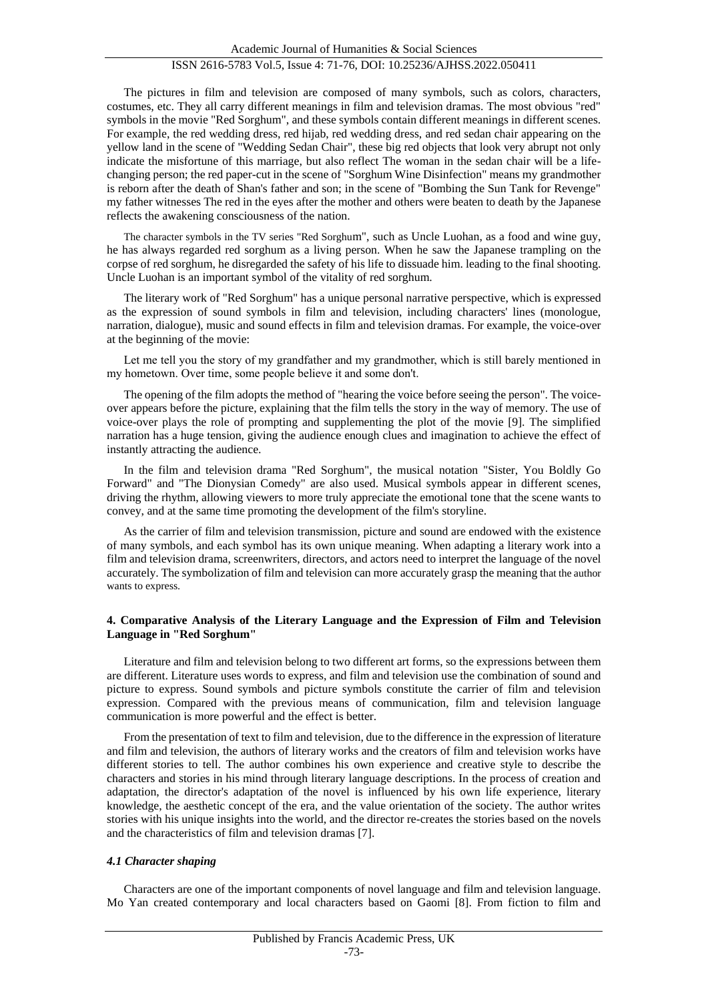The pictures in film and television are composed of many symbols, such as colors, characters, costumes, etc. They all carry different meanings in film and television dramas. The most obvious "red" symbols in the movie "Red Sorghum", and these symbols contain different meanings in different scenes. For example, the red wedding dress, red hijab, red wedding dress, and red sedan chair appearing on the yellow land in the scene of "Wedding Sedan Chair", these big red objects that look very abrupt not only indicate the misfortune of this marriage, but also reflect The woman in the sedan chair will be a lifechanging person; the red paper-cut in the scene of "Sorghum Wine Disinfection" means my grandmother is reborn after the death of Shan's father and son; in the scene of "Bombing the Sun Tank for Revenge" my father witnesses The red in the eyes after the mother and others were beaten to death by the Japanese reflects the awakening consciousness of the nation.

The character symbols in the TV series "Red Sorghum", such as Uncle Luohan, as a food and wine guy, he has always regarded red sorghum as a living person. When he saw the Japanese trampling on the corpse of red sorghum, he disregarded the safety of his life to dissuade him. leading to the final shooting. Uncle Luohan is an important symbol of the vitality of red sorghum.

The literary work of "Red Sorghum" has a unique personal narrative perspective, which is expressed as the expression of sound symbols in film and television, including characters' lines (monologue, narration, dialogue), music and sound effects in film and television dramas. For example, the voice-over at the beginning of the movie:

Let me tell you the story of my grandfather and my grandmother, which is still barely mentioned in my hometown. Over time, some people believe it and some don't.

The opening of the film adopts the method of "hearing the voice before seeing the person". The voiceover appears before the picture, explaining that the film tells the story in the way of memory. The use of voice-over plays the role of prompting and supplementing the plot of the movie [9]. The simplified narration has a huge tension, giving the audience enough clues and imagination to achieve the effect of instantly attracting the audience.

In the film and television drama "Red Sorghum", the musical notation "Sister, You Boldly Go Forward" and "The Dionysian Comedy" are also used. Musical symbols appear in different scenes, driving the rhythm, allowing viewers to more truly appreciate the emotional tone that the scene wants to convey, and at the same time promoting the development of the film's storyline.

As the carrier of film and television transmission, picture and sound are endowed with the existence of many symbols, and each symbol has its own unique meaning. When adapting a literary work into a film and television drama, screenwriters, directors, and actors need to interpret the language of the novel accurately. The symbolization of film and television can more accurately grasp the meaning that the author wants to express.

### **4. Comparative Analysis of the Literary Language and the Expression of Film and Television Language in "Red Sorghum"**

Literature and film and television belong to two different art forms, so the expressions between them are different. Literature uses words to express, and film and television use the combination of sound and picture to express. Sound symbols and picture symbols constitute the carrier of film and television expression. Compared with the previous means of communication, film and television language communication is more powerful and the effect is better.

From the presentation of text to film and television, due to the difference in the expression of literature and film and television, the authors of literary works and the creators of film and television works have different stories to tell. The author combines his own experience and creative style to describe the characters and stories in his mind through literary language descriptions. In the process of creation and adaptation, the director's adaptation of the novel is influenced by his own life experience, literary knowledge, the aesthetic concept of the era, and the value orientation of the society. The author writes stories with his unique insights into the world, and the director re-creates the stories based on the novels and the characteristics of film and television dramas [7].

#### *4.1 Character shaping*

Characters are one of the important components of novel language and film and television language. Mo Yan created contemporary and local characters based on Gaomi [8]. From fiction to film and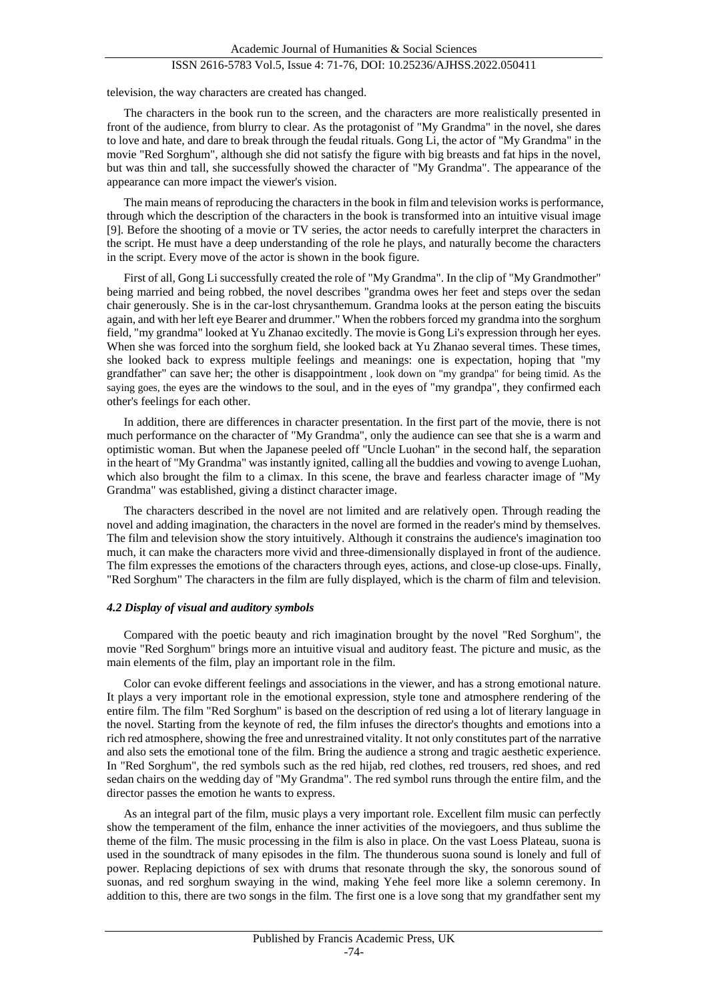television, the way characters are created has changed.

The characters in the book run to the screen, and the characters are more realistically presented in front of the audience, from blurry to clear. As the protagonist of "My Grandma" in the novel, she dares to love and hate, and dare to break through the feudal rituals. Gong Li, the actor of "My Grandma" in the movie "Red Sorghum", although she did not satisfy the figure with big breasts and fat hips in the novel, but was thin and tall, she successfully showed the character of "My Grandma". The appearance of the appearance can more impact the viewer's vision.

The main means of reproducing the characters in the book in film and television works is performance, through which the description of the characters in the book is transformed into an intuitive visual image [9]. Before the shooting of a movie or TV series, the actor needs to carefully interpret the characters in the script. He must have a deep understanding of the role he plays, and naturally become the characters in the script. Every move of the actor is shown in the book figure.

First of all, Gong Li successfully created the role of "My Grandma". In the clip of "My Grandmother" being married and being robbed, the novel describes "grandma owes her feet and steps over the sedan chair generously. She is in the car-lost chrysanthemum. Grandma looks at the person eating the biscuits again, and with her left eye Bearer and drummer." When the robbers forced my grandma into the sorghum field, "my grandma" looked at Yu Zhanao excitedly. The movie is Gong Li's expression through her eyes. When she was forced into the sorghum field, she looked back at Yu Zhanao several times. These times, she looked back to express multiple feelings and meanings: one is expectation, hoping that "my grandfather" can save her; the other is disappointment , look down on "my grandpa" for being timid. As the saying goes, the eyes are the windows to the soul, and in the eyes of "my grandpa", they confirmed each other's feelings for each other.

In addition, there are differences in character presentation. In the first part of the movie, there is not much performance on the character of "My Grandma", only the audience can see that she is a warm and optimistic woman. But when the Japanese peeled off "Uncle Luohan" in the second half, the separation in the heart of "My Grandma" was instantly ignited, calling all the buddies and vowing to avenge Luohan, which also brought the film to a climax. In this scene, the brave and fearless character image of "My Grandma" was established, giving a distinct character image.

The characters described in the novel are not limited and are relatively open. Through reading the novel and adding imagination, the characters in the novel are formed in the reader's mind by themselves. The film and television show the story intuitively. Although it constrains the audience's imagination too much, it can make the characters more vivid and three-dimensionally displayed in front of the audience. The film expresses the emotions of the characters through eyes, actions, and close-up close-ups. Finally, "Red Sorghum" The characters in the film are fully displayed, which is the charm of film and television.

#### *4.2 Display of visual and auditory symbols*

Compared with the poetic beauty and rich imagination brought by the novel "Red Sorghum", the movie "Red Sorghum" brings more an intuitive visual and auditory feast. The picture and music, as the main elements of the film, play an important role in the film.

Color can evoke different feelings and associations in the viewer, and has a strong emotional nature. It plays a very important role in the emotional expression, style tone and atmosphere rendering of the entire film. The film "Red Sorghum" is based on the description of red using a lot of literary language in the novel. Starting from the keynote of red, the film infuses the director's thoughts and emotions into a rich red atmosphere, showing the free and unrestrained vitality. It not only constitutes part of the narrative and also sets the emotional tone of the film. Bring the audience a strong and tragic aesthetic experience. In "Red Sorghum", the red symbols such as the red hijab, red clothes, red trousers, red shoes, and red sedan chairs on the wedding day of "My Grandma". The red symbol runs through the entire film, and the director passes the emotion he wants to express.

As an integral part of the film, music plays a very important role. Excellent film music can perfectly show the temperament of the film, enhance the inner activities of the moviegoers, and thus sublime the theme of the film. The music processing in the film is also in place. On the vast Loess Plateau, suona is used in the soundtrack of many episodes in the film. The thunderous suona sound is lonely and full of power. Replacing depictions of sex with drums that resonate through the sky, the sonorous sound of suonas, and red sorghum swaying in the wind, making Yehe feel more like a solemn ceremony. In addition to this, there are two songs in the film. The first one is a love song that my grandfather sent my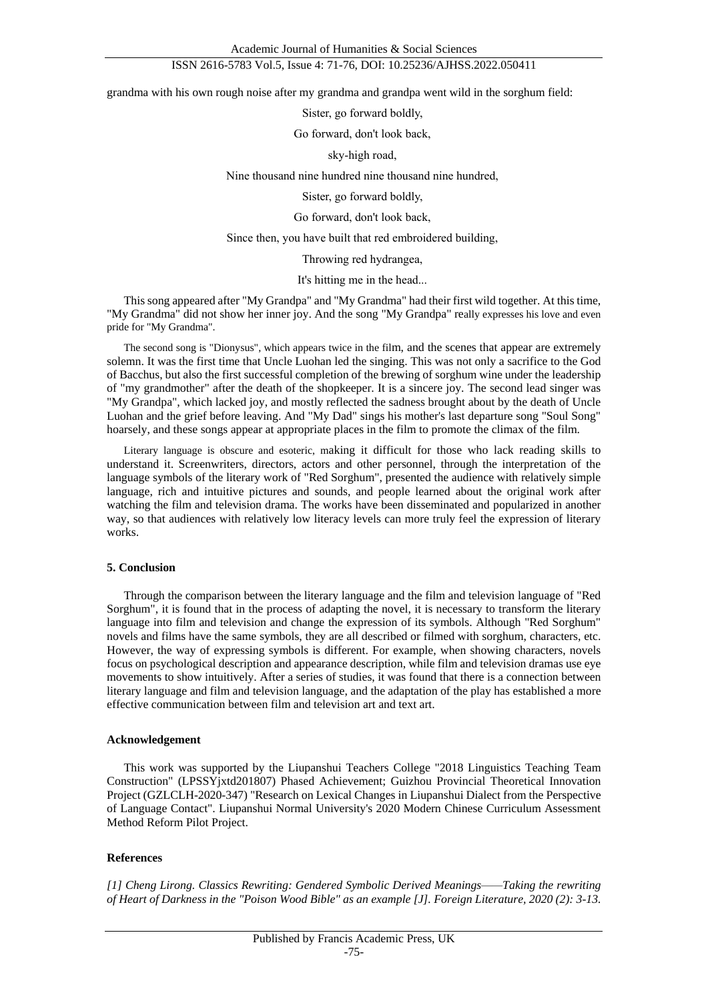Academic Journal of Humanities & Social Sciences

## ISSN 2616-5783 Vol.5, Issue 4: 71-76, DOI: 10.25236/AJHSS.2022.050411

grandma with his own rough noise after my grandma and grandpa went wild in the sorghum field:

Sister, go forward boldly,

Go forward, don't look back,

sky-high road,

Nine thousand nine hundred nine thousand nine hundred,

Sister, go forward boldly,

Go forward, don't look back,

Since then, you have built that red embroidered building,

Throwing red hydrangea,

It's hitting me in the head...

This song appeared after "My Grandpa" and "My Grandma" had their first wild together. At this time, "My Grandma" did not show her inner joy. And the song "My Grandpa" really expresses his love and even pride for "My Grandma".

The second song is "Dionysus", which appears twice in the film, and the scenes that appear are extremely solemn. It was the first time that Uncle Luohan led the singing. This was not only a sacrifice to the God of Bacchus, but also the first successful completion of the brewing of sorghum wine under the leadership of "my grandmother" after the death of the shopkeeper. It is a sincere joy. The second lead singer was "My Grandpa", which lacked joy, and mostly reflected the sadness brought about by the death of Uncle Luohan and the grief before leaving. And "My Dad" sings his mother's last departure song "Soul Song" hoarsely, and these songs appear at appropriate places in the film to promote the climax of the film.

Literary language is obscure and esoteric, making it difficult for those who lack reading skills to understand it. Screenwriters, directors, actors and other personnel, through the interpretation of the language symbols of the literary work of "Red Sorghum", presented the audience with relatively simple language, rich and intuitive pictures and sounds, and people learned about the original work after watching the film and television drama. The works have been disseminated and popularized in another way, so that audiences with relatively low literacy levels can more truly feel the expression of literary works.

#### **5. Conclusion**

Through the comparison between the literary language and the film and television language of "Red Sorghum", it is found that in the process of adapting the novel, it is necessary to transform the literary language into film and television and change the expression of its symbols. Although "Red Sorghum" novels and films have the same symbols, they are all described or filmed with sorghum, characters, etc. However, the way of expressing symbols is different. For example, when showing characters, novels focus on psychological description and appearance description, while film and television dramas use eye movements to show intuitively. After a series of studies, it was found that there is a connection between literary language and film and television language, and the adaptation of the play has established a more effective communication between film and television art and text art.

#### **Acknowledgement**

This work was supported by the Liupanshui Teachers College "2018 Linguistics Teaching Team Construction" (LPSSYjxtd201807) Phased Achievement; Guizhou Provincial Theoretical Innovation Project (GZLCLH-2020-347) "Research on Lexical Changes in Liupanshui Dialect from the Perspective of Language Contact". Liupanshui Normal University's 2020 Modern Chinese Curriculum Assessment Method Reform Pilot Project.

#### **References**

*[1] Cheng Lirong. Classics Rewriting: Gendered Symbolic Derived Meanings——Taking the rewriting of Heart of Darkness in the "Poison Wood Bible" as an example [J]. Foreign Literature, 2020 (2): 3-13.*